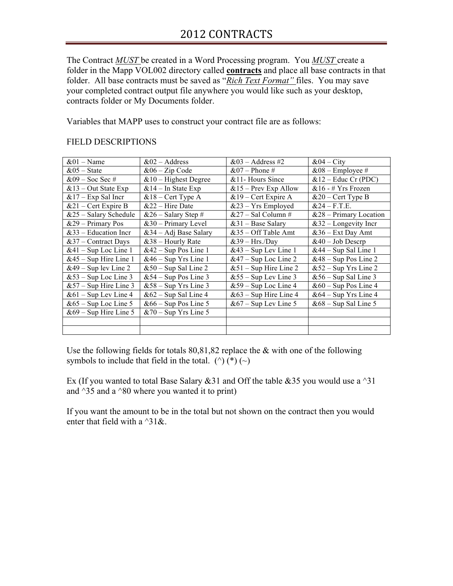The Contract *MUST* be created in a Word Processing program. You *MUST* create a folder in the Mapp VOL002 directory called **contracts** and place all base contracts in that folder. All base contracts must be saved as "*Rich Text Format"* files. You may save your completed contract output file anywhere you would like such as your desktop, contracts folder or My Documents folder.

Variables that MAPP uses to construct your contract file are as follows:

## FIELD DESCRIPTIONS

| $&01 - Name$            | $&02 - Address$         | $&03 - Address #2$      | $&04 - City$             |
|-------------------------|-------------------------|-------------------------|--------------------------|
| $&05 - State$           | $&06 - Zip Code$        | $&07$ – Phone #         | $&08$ – Employee #       |
| $&09 - Soc$ Sec #       | $& 10$ – Highest Degree | $&$ 11- Hours Since     | $& 12 -$ Educ Cr (PDC)   |
| $& 13 - Out State Exp$  | $& 14$ – In State Exp   | $&15$ – Prev Exp Allow  | $&16 - # Yrs$ Frozen     |
| $& 17 - Exp$ Sal Incr   | $& 18 -$ Cert Type A    | $&19$ – Cert Expire A   | $&20$ – Cert Type B      |
| $&21$ – Cert Expire B   | $&22 - Hire$ Date       | $&23 - Yrs$ Employed    | $&24 - F.T.E.$           |
| $&25 -$ Salary Schedule | $&26 -$ Salary Step #   | $&27 - Sal Column #$    | $&28 - Primary Location$ |
| $&29 - Primary Pos$     | $&30$ – Primary Level   | $&31 - Base$ Salary     | $&32$ – Longevity Incr   |
| $&33$ – Education Incr  | $&34 - Adi$ Base Salary | $&35-Off$ Table Amt     | $&36 - Ext$ Day Amt      |
| $&37$ – Contract Days   | $&38 -$ Hourly Rate     | $&39 - Hrs/Dav$         | $&40 - Job$ Descrp       |
| $&41 - Sup$ Loc Line 1  | $&42$ – Sup Pos Line 1  | $&43 - Sup Lev Line 1$  | $&44 - Sup Sal Line 1$   |
| $&45 - Sup$ Hire Line 1 | $&46 - Sup Yrs Line 1$  | $&47 - Sup$ Loc Line 2  | $&48 - Sup Pos Line 2$   |
| $&49 - Sup$ lev Line 2  | $&50 - Sup$ Sal Line 2  | $&51 - Sup$ Hire Line 2 | $&52 - Sup Yrs$ Line 2   |
| $&53 - Sup$ Loc Line 3  | $&54 - Sup Pos Line 3$  | $&55 - Sup Lev Line 3$  | $&56 - Sup$ Sal Line 3   |
| $&57 - Sup$ Hire Line 3 | $&58 - Sup Yrs$ Line 3  | $&59 - Sup$ Loc Line 4  | $&60 - Sup Pos Line 4$   |
| $&61 - Sup Lev Line 4$  | $&62 - Sup$ Sal Line 4  | $&63 - Sup$ Hire Line 4 | $&64 - Sup Yrs$ Line 4   |
| $&65 - Sup$ Loc Line 5  | $&66 - Sup Pos Line 5$  | $&67 - Sup Lev Line 5$  | $&68 - Sup$ Sal Line 5   |
| $&69 - Sup$ Hire Line 5 | $&70 - Sup Yrs$ Line 5  |                         |                          |
|                         |                         |                         |                          |
|                         |                         |                         |                          |

Use the following fields for totals  $80,81,82$  replace the  $&$  with one of the following symbols to include that field in the total. ( $\hat{ }$ ) ( $\hat{ }$ ) ( $\hat{ }$ )

Ex (If you wanted to total Base Salary  $&31$  and Off the table  $&35$  you would use a  $^{\wedge}31$ and  $\triangle 35$  and a  $\triangle 80$  where you wanted it to print)

If you want the amount to be in the total but not shown on the contract then you would enter that field with a  $^{4}31\&$ .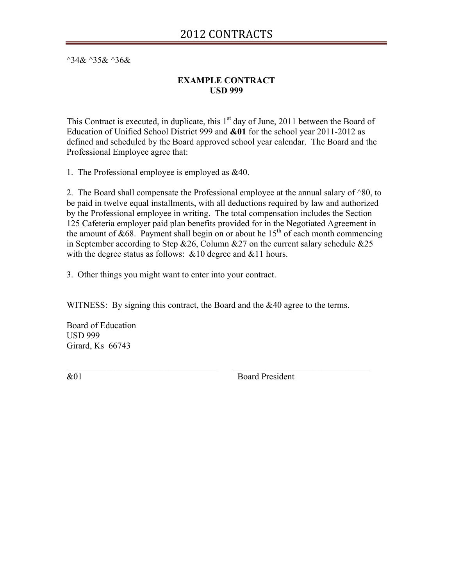$^{\wedge}34\& ^{\wedge}35\& ^{\wedge}36\&$ 

## **EXAMPLE CONTRACT USD 999**

This Contract is executed, in duplicate, this  $1<sup>st</sup>$  day of June, 2011 between the Board of Education of Unified School District 999 and **&01** for the school year 2011-2012 as defined and scheduled by the Board approved school year calendar. The Board and the Professional Employee agree that:

1. The Professional employee is employed as &40.

2. The Board shall compensate the Professional employee at the annual salary of  $^{\wedge}80$ , to be paid in twelve equal installments, with all deductions required by law and authorized by the Professional employee in writing. The total compensation includes the Section 125 Cafeteria employer paid plan benefits provided for in the Negotiated Agreement in the amount of &68. Payment shall begin on or about he  $15<sup>th</sup>$  of each month commencing in September according to Step  $&26$ , Column  $&27$  on the current salary schedule  $&25$ with the degree status as follows:  $&10$  degree and  $&11$  hours.

3. Other things you might want to enter into your contract.

WITNESS: By signing this contract, the Board and the &40 agree to the terms.

 $\mathcal{L}_\text{max} = \mathcal{L}_\text{max} = \mathcal{L}_\text{max} = \mathcal{L}_\text{max} = \mathcal{L}_\text{max} = \mathcal{L}_\text{max} = \mathcal{L}_\text{max} = \mathcal{L}_\text{max} = \mathcal{L}_\text{max} = \mathcal{L}_\text{max} = \mathcal{L}_\text{max} = \mathcal{L}_\text{max} = \mathcal{L}_\text{max} = \mathcal{L}_\text{max} = \mathcal{L}_\text{max} = \mathcal{L}_\text{max} = \mathcal{L}_\text{max} = \mathcal{L}_\text{max} = \mathcal{$ 

Board of Education USD 999 Girard, Ks 66743

&01 Board President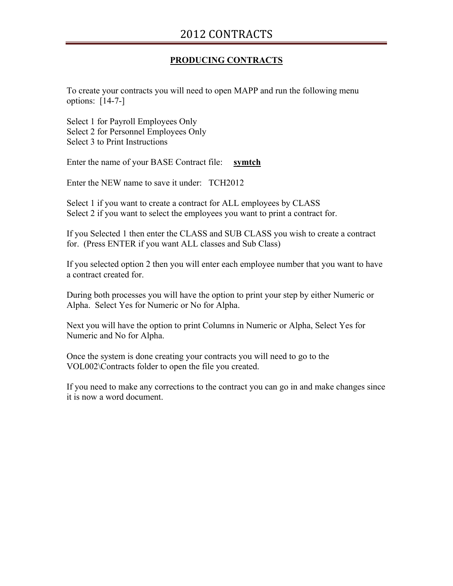## **PRODUCING CONTRACTS**

To create your contracts you will need to open MAPP and run the following menu options: [14-7-]

Select 1 for Payroll Employees Only Select 2 for Personnel Employees Only Select 3 to Print Instructions

Enter the name of your BASE Contract file: **symtch**

Enter the NEW name to save it under: TCH2012

Select 1 if you want to create a contract for ALL employees by CLASS Select 2 if you want to select the employees you want to print a contract for.

If you Selected 1 then enter the CLASS and SUB CLASS you wish to create a contract for. (Press ENTER if you want ALL classes and Sub Class)

If you selected option 2 then you will enter each employee number that you want to have a contract created for.

During both processes you will have the option to print your step by either Numeric or Alpha. Select Yes for Numeric or No for Alpha.

Next you will have the option to print Columns in Numeric or Alpha, Select Yes for Numeric and No for Alpha.

Once the system is done creating your contracts you will need to go to the VOL002\Contracts folder to open the file you created.

If you need to make any corrections to the contract you can go in and make changes since it is now a word document.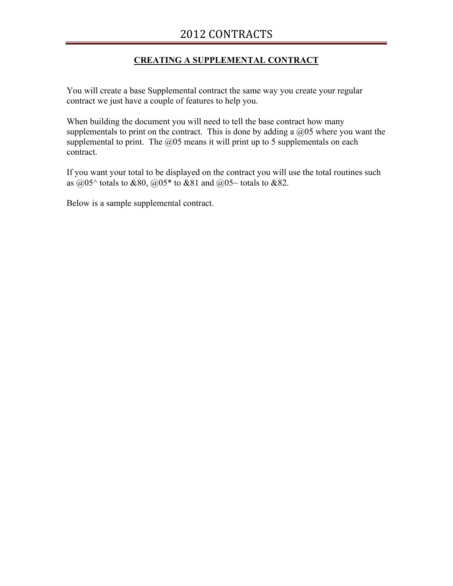# **CREATING A SUPPLEMENTAL CONTRACT**

You will create a base Supplemental contract the same way you create your regular contract we just have a couple of features to help you.

When building the document you will need to tell the base contract how many supplementals to print on the contract. This is done by adding a  $\omega$  where you want the supplemental to print. The  $\omega$ 05 means it will print up to 5 supplementals on each contract.

If you want your total to be displayed on the contract you will use the total routines such as  $@05^{\wedge}$  totals to &80,  $@05^*$  to &81 and  $@05^{\sim}$  totals to &82.

Below is a sample supplemental contract.